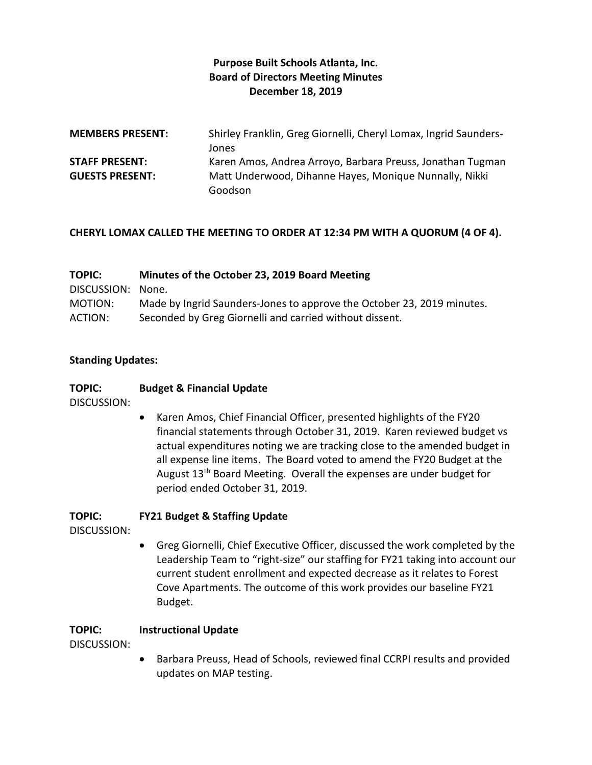## **Purpose Built Schools Atlanta, Inc. Board of Directors Meeting Minutes December 18, 2019**

| <b>MEMBERS PRESENT:</b> | Shirley Franklin, Greg Giornelli, Cheryl Lomax, Ingrid Saunders- |
|-------------------------|------------------------------------------------------------------|
|                         | Jones                                                            |
| <b>STAFF PRESENT:</b>   | Karen Amos, Andrea Arroyo, Barbara Preuss, Jonathan Tugman       |
| <b>GUESTS PRESENT:</b>  | Matt Underwood, Dihanne Hayes, Monique Nunnally, Nikki           |
|                         | Goodson                                                          |

#### **CHERYL LOMAX CALLED THE MEETING TO ORDER AT 12:34 PM WITH A QUORUM (4 OF 4).**

| <b>TOPIC:</b>     | Minutes of the October 23, 2019 Board Meeting                          |
|-------------------|------------------------------------------------------------------------|
| DISCUSSION: None. |                                                                        |
| MOTION:           | Made by Ingrid Saunders-Jones to approve the October 23, 2019 minutes. |
| ACTION:           | Seconded by Greg Giornelli and carried without dissent.                |

#### **Standing Updates:**

#### **TOPIC: Budget & Financial Update**

DISCUSSION:

 Karen Amos, Chief Financial Officer, presented highlights of the FY20 financial statements through October 31, 2019. Karen reviewed budget vs actual expenditures noting we are tracking close to the amended budget in all expense line items. The Board voted to amend the FY20 Budget at the August 13th Board Meeting. Overall the expenses are under budget for period ended October 31, 2019.

## **TOPIC: FY21 Budget & Staffing Update**

DISCUSSION:

 Greg Giornelli, Chief Executive Officer, discussed the work completed by the Leadership Team to "right-size" our staffing for FY21 taking into account our current student enrollment and expected decrease as it relates to Forest Cove Apartments. The outcome of this work provides our baseline FY21 Budget.

## **TOPIC: Instructional Update**

DISCUSSION:

 Barbara Preuss, Head of Schools, reviewed final CCRPI results and provided updates on MAP testing.